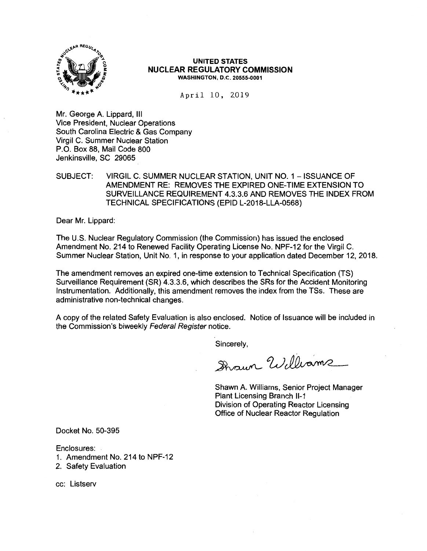

#### **UNITED STATES NUCLEAR REGULATORY COMMISSION WASHINGTON, D.C. 20555-0001**

April 10, 2019

Mr. George A. Lippard, Ill Vice President, Nuclear Operations South Carolina Electric & Gas Company Virgil C. Summer Nuclear Station P.O. Box 88, Mail Code 800 Jenkinsville, SC 29065

## SUBJECT: VIRGIL C. SUMMER NUCLEAR STATION, UNIT NO. 1 - ISSUANCE OF AMENDMENT RE: REMOVES THE EXPIRED ONE-TIME EXTENSION TO SURVEILLANCE REQUIREMENT 4.3.3.6 AND REMOVES THE INDEX FROM TECHNICAL SPECIFICATIONS (EPID L-2018-LLA-0568)

Dear Mr. Lippard:

The U.S. Nuclear Regulatory Commission (the Commission) has issued the enclosed Amendment No. 214 to Renewed Facility Operating License No. NPF-12 for the Virgil C. Summer Nuclear Station, Unit No. 1, in response to your application dated December 12, 2018.

The amendment removes an expired one-time extension to Technical Specification (TS} Surveillance Requirement (SR) 4.3.3.6, which describes the SRs for the Accident Monitoring Instrumentation. Additionally, this amendment removes the index from the TSs. These are administrative non-technical changes.

A copy of the related Safety Evaluation is also enclosed. Notice of Issuance will be included in the Commission's biweekly Federal Register notice.

Sincerely,

Iraun Williams

Shawn A. Williams, Senior Project Manager Plant Licensing Branch 11-1 Division of Operating Reactor Licensing Office of Nuclear Reactor Regulation

Docket No. 50-395

Enclosures:

- 1. Amendment No. 214 to NPF-12
- 2. Safety Evaluation

cc: Listserv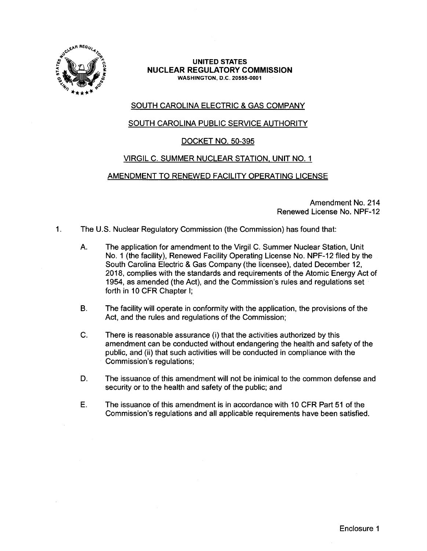

#### **UNITED STATES NUCLEAR REGULATORY COMMISSION WASHINGTON,** D.C. **20555-0001**

# SOUTH CAROLINA ELECTRIC & GAS COMPANY

# SOUTH CAROLINA PUBLIC SERVICE AUTHORITY

# DOCKET NO. 50-395

# VIRGIL C. SUMMER NUCLEAR STATION, UNIT NO. 1

# AMENDMENT TO RENEWED FACILITY OPERATING LICENSE

Amendment No. 214 Renewed License No. NPF-12

- 1. The U.S. Nuclear Regulatory Commission (the Commission) has found that:
	- A. The application for amendment to the Virgil C. Summer Nuclear Station, Unit No. 1 (the facility), Renewed Facility Operating License No. NPF-12 filed by the South Carolina Electric & Gas Company (the licensee), dated December 12, 2018, complies with the standards and requirements of the Atomic Energy Act of 1954, as amended (the Act), and the Commission's rules and regulations set forth in 10 CFR Chapter I;
	- B. The facility will operate in conformity with the application, the provisions of the Act, and the rules and regulations of the Commission;
	- C. There is reasonable assurance (i) that the activities authorized by this amendment can be conducted without endangering the health and safety of the public, and (ii) that such activities will be conducted in compliance with the Commission's regulations;
	- D. The issuance of this amendment will not be inimical to the common defense and security or to the health and safety of the public; and
	- E. The issuance of this amendment is in accordance with 10 CFR Part 51 of the Commission's regulations and all applicable requirements have been satisfied.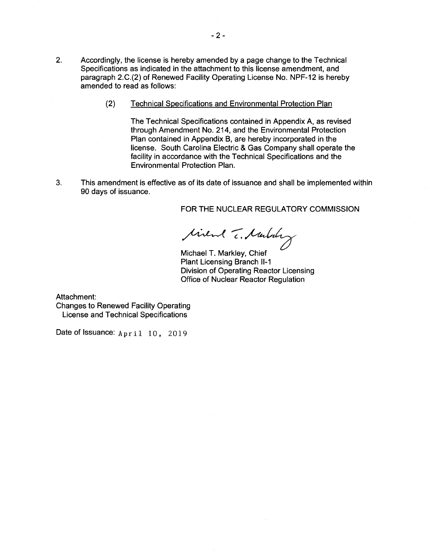- 2. Accordingly, the license is hereby amended by a page change to the Technical Specifications as indicated in the attachment to this license amendment, and paragraph 2.C.(2) of Renewed Facility Operating License No. NPF-12 is hereby amended to read as follows:
	- (2) Technical Specifications and Environmental Protection Plan

The Technical Specifications contained in Appendix A, as revised through Amendment No. 214, and the Environmental Protection Plan contained in Appendix B, are hereby incorporated in the license. South Carolina Electric & Gas Company shall operate the facility in accordance with the Technical Specifications and the Environmental Protection Plan.

3. This amendment is effective as of its date of issuance and shall be implemented within 90 days of issuance.

FOR THE NUCLEAR REGULATORY COMMISSION

tivent T. Marbury

Michael T. Markley, Chief Plant Licensing Branch 11-1 Division of Operating Reactor Licensing Office of Nuclear Reactor Regulation

Attachment:

Changes to Renewed Facility Operating License and Technical Specifications

Date of Issuance:  $Apri1 10$ , 2019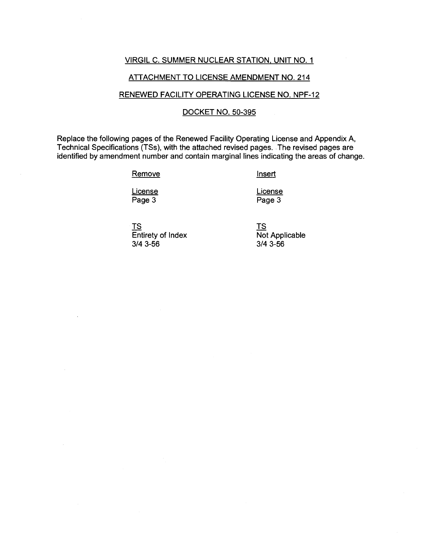## VIRGIL C. SUMMER NUCLEAR STATION, UNIT NO. 1

## ATTACHMENT TO LICENSE AMENDMENT NO. 214

### RENEWED FACILITY OPERATING LICENSE NO. NPF-12

## DOCKET NO. 50-395

Replace the following pages of the Renewed Facility Operating License and Appendix A, Technical Specifications (TSs), with the attached revised pages. The revised pages are identified by amendment number and contain marginal lines indicating the areas of change.

**Remove** 

Insert

**License** Page 3

License Page 3

TS Entirety of Index 3/4 3-56

TS Not Applicable 3/4 3-56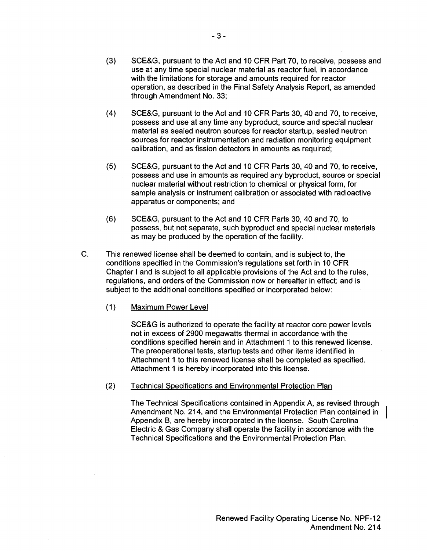- (3) SCE&G, pursuant to the Act and 10 CFR Part 70, to receive, possess and use at any time special nuclear material as reactor fuel, in accordance with the limitations for storage and amounts required for reactor operation, as described in the Final Safety Analysis Report, as amended through Amendment No. 33;
- (4) SCE&G, pursuant to the Act and 10 CFR Parts 30, 40 and 70, to receive, possess and use at any time any byproduct, source and special nuclear material as sealed neutron sources for reactor startup, sealed neutron sources for reactor instrumentation and radiation monitoring equipment calibration, and as fission detectors in amounts as required;
- (5) SCE&G, pursuant to the Act and 10 CFR Parts 30, 40 and 70, to receive, possess and use in amounts as required any byproduct, source or special nuclear material without restriction to chemical or physical form, for sample analysis or instrument calibration or associated with radioactive apparatus or components; and
- (6) SCE&G, pursuant to the Act and 10 CFR Parts 30, 40 and 70, to possess, but not separate, such byproduct and special nuclear materials as may be produced by the operation of the facility.
- C. This renewed license shall be deemed to contain, and is subject to, the conditions specified in the Commission's regulations set forth in 10 CFR Chapter I and is subject to all applicable provisions of the Act and to the rules, regulations, and orders of the Commission now or hereafter in effect; and is subject to the additional conditions specified or incorporated below:
	- $(1)$ Maximum Power Level

SCE&G is authorized to operate the facility at reactor core power levels not in excess of 2900 megawatts thermal in accordance with the conditions specified herein and in Attachment 1 to this renewed license. The preoperational tests, startup tests and other items identified in Attachment 1 to this renewed license shall be completed as specified. Attachment 1 is hereby incorporated into this license.

(2) Technical Specifications and Environmental Protection Plan

> The Technical Specifications contained in Appendix A, as revised through Amendment No. 214, and the Environmental Protection Plan contained in Appendix B, are hereby incorporated in the license. South Carolina Electric & Gas Company shall operate the facility in accordance with the Technical Specifications and the Environmental Protection Plan.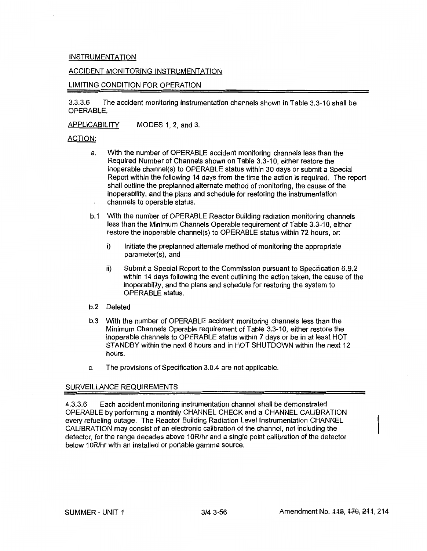#### **INSTRUMENTATION**

#### ACCIDENT MONITORING INSTRUMENTATION

#### LIMITING CONDITION FOR OPERATION

3.3.3.6 The accident monitoring instrumentation channels shown in Table 3.3-10 shall be OPERABLE.

APPLICABILITY MODES 1, 2, and 3.

#### ACTION:

- a. With the number of OPERABLE accident monitoring channels less than the Required Number of Channels shown on Table 3.3-10, either restore the inoperable channel(s) to OPERABLE status within 30 days or submit a Special Report within the following 14 days from the time the action is required. The report shall outline the preplanned alternate method of monitoring, the cause of the inoperability, and the plans and schedule for restoring the instrumentation channels to operable status.
- b.1 With the number of OPERABLE Reactor Building radiation monitoring channels less than the Minimum Channels Operable requirement of Table 3.3-10, either restore the inoperable channel(s) to OPERABLE status within 72 hours, or:
	- i) Initiate the preplanned alternate method of monitoring the appropriate parameter(s), and
	- ii) Submit a Special Report to the Commission pursuant to Specification 6.9.2 within 14 days following the event outlining the action taken, the cause of the inoperability, and the plans and schedule for restoring the system to OPERABLE status.
- b.2 Deleted
- b.3 With the number of OPERABLE accident monitoring channels less than the Minimum Channels Operable requirement of Table 3.3-10, either restore the inoperable channels to OPERABLE status within 7 days or be in at least HOT STANDBY within the next 6 hours and in HOT SHUTDOWN within the next 12 hours.
- c. The provisions of Specification 3.0.4 are not applicable.

#### SURVEILLANCE REQUIREMENTS

4.3.3.6 Each accident monitoring instrumentation channel shall be demonstrated OPERABLE by performing a monthly CHANNEL CHECK and a CHANNEL CALIBRATION every refueling outage. The Reactor Building Radiation Level Instrumentation CHANNEL CALIBRATION may consist of an electronic calibration of the channel, not including the detector, for the range decades above 10R/hr and a single point calibration of the detector below 10R/hr with an installed or portable gamma source.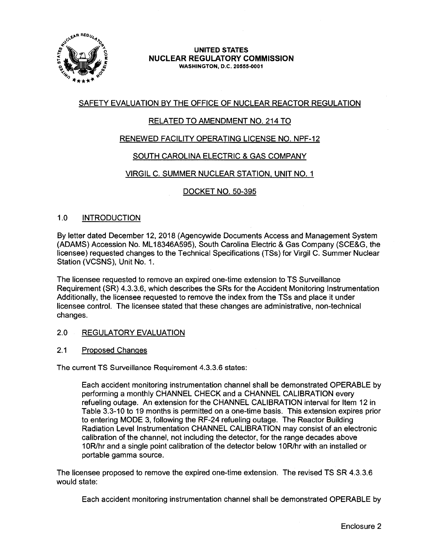

#### **UNITED STATES NUCLEAR REGULATORY COMMISSION WASHINGTON,** D.C. **20555-0001**

# SAFETY EVALUATION BY THE OFFICE OF NUCLEAR REACTOR REGULATION

# RELATED TO AMENDMENT NO. 214 TO

# RENEWED FACILITY OPERATING LICENSE NO. NPF-12

# SOUTH CAROLINA ELECTRIC & GAS COMPANY

# VIRGIL C. SUMMER NUCLEAR STATION, UNIT NO. 1

# DOCKET NO. 50-395

## 1.0 INTRODUCTION

By letter dated December 12, 2018 (Agencywide Documents Access and Management System (ADAMS) Accession No. ML 18346A595), South Carolina Electric & Gas Company (SCE&G, the licensee) requested changes to the Technical Specifications (TSs) for Virgil C. Summer Nuclear Station (VCSNS), Unit No. 1.

The licensee requested to remove an expired one-time extension to TS Surveillance Requirement (SR) 4.3.3.6, which describes the SRs for the Accident Monitoring Instrumentation Additionally, the licensee requested to remove the index from the TSs and place it under licensee control. The licensee stated that these changes are administrative, non-technical changes.

#### 2.0 REGULATORY EVALUATION

#### 2.1 Proposed Changes

The current TS Surveillance Requirement 4.3.3.6 states:

Each accident monitoring instrumentation channel shall be demonstrated OPERABLE by performing a monthly CHANNEL CHECK and a CHANNEL CALIBRATION every refueling outage. An extension for the CHANNEL CALIBRATION interval for Item 12 in Table 3.3-10 to 19 months is permitted on a one-time basis. This extension expires prior to entering MODE 3, following the RF-24 refueling outage. The Reactor Building Radiation Level Instrumentation CHANNEL CALIBRATION may consist of an electronic calibration of the channel, not including the detector, for the range decades above 1 OR/hr and a single point calibration of the detector below 1 OR/hr with an installed or portable gamma source.

The licensee proposed to remove the expired one-time extension. The revised TS SR 4.3.3.6 would state:

Each accident monitoring instrumentation channel shall be demonstrated OPERABLE by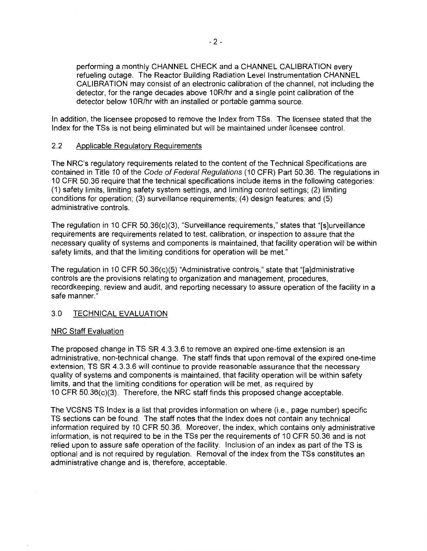performing a monthly CHANNEL CHECK and a CHANNEL CALIBRATION every refueling outage. The Reactor Building Radiation Level Instrumentation CHANNEL CALIBRATION may consist of an electronic calibration of the channel, not including the detector, for the range decades above 10R/hr and a single point calibration of the detector below 10R/hr with an installed or portable gamma source.

In addition, the licensee proposed to remove the Index from TSs. The licensee stated that the Index for the TSs is not being eliminated but will be maintained under licensee control.

## 2.2 Applicable Regulatory Requirements

The NRC's regulatory requirements related to the content of the Technical Specifications are contained in Title 10 of the Code of Federal Regulations (10 CFR) Part 50.36. The regulations in 10 CFR 50.36 require that the technical specifications include items in the following categories: (1) safety limits, limiting safety system settings, and limiting control settings; (2) limiting conditions for operation; (3) surveillance requirements; (4) design features; and (5) administrative controls.

The regulation in 10 CFR 50.36(c)(3), "Surveillance requirements," states that "(s]urveillance requirements are requirements related to test, calibration, or inspection to assure that the necessary quality of systems and components is maintained, that facility operation will be within safety limits, and that the limiting conditions for operation will be met."

The regulation in 10 CFR 50.36(c)(5) "Administrative controls," state that "[a]dministrative controls are the provisions relating to organization and management, procedures, recordkeeping, review and audit, and reporting necessary to assure operation of the facility in a safe manner."

# 3.0 TECHNICAL EVALUATION

## NRC Staff Evaluation

The proposed change in TS SR 4.3.3.6 to remove an expired one-time extension is an administrative, non-technical change. The staff finds that upon removal of the expired one-time extension, TS SR 4.3.3.6 will continue to provide reasonable assurance that the necessary quality of systems and components is maintained, that facility operation will be within safety limits, and that the limiting conditions for operation will be met, as required by 10 CFR 50.36(c)(3). Therefore, the NRC staff finds this proposed change acceptable.

The VCSNS TS Index is a list that provides information on where (i.e., page number) specific TS sections can be found. The staff notes that the Index does not contain any technical information required by 10 CFR 50.36. Moreover, the index, which contains only administrative information, is not required to be in the TSs per the requirements of 10 CFR 50.36 and is not relied upon to assure safe operation of the facility. Inclusion of an index as part of the TS is optional and is not required by regulation. Removal of the index from the TSs constitutes an administrative change and is, therefore, acceptable.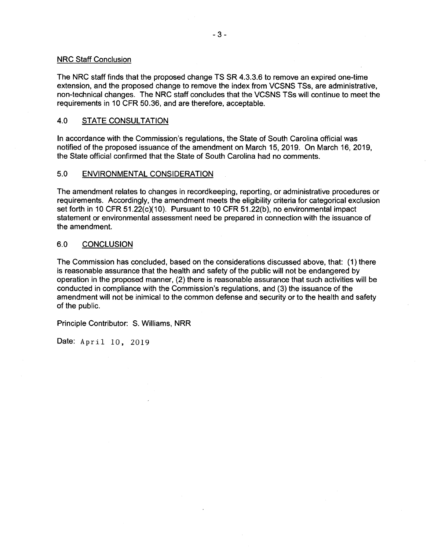#### NRC Staff Conclusion

The NRC staff finds that the proposed change TS SR 4.3.3.6 to remove an expired one-time extension, and the proposed change to remove the index from VCSNS TSs, are administrative, non-technical changes. The NRC staff concludes that the VCSNS TSs will continue to meet the requirements in 10 CFR 50.36, and are therefore, acceptable.

## 4.0 STATE CONSULTATION

In accordance with the Commission's regulations, the State of South Carolina official was notified of the proposed issuance of the amendment on March 15, 2019. On March 16, 2019, the State official confirmed that the State of South Carolina had no comments.

#### 5.0 ENVIRONMENTAL CONSIDERATION

The amendment relates to changes in recordkeeping, reporting, or administrative procedures or requirements. Accordingly, the amendment meets the eligibility criteria for categorical exclusion set forth in 10 CFR  $51.22(c)(10)$ . Pursuant to 10 CFR  $51.22(b)$ , no environmental impact statement or environmental assessment need be prepared in connection with the issuance of the amendment.

#### 6.0 CONCLUSION

The Commission has concluded, based on the considerations discussed above, that: (1) there is reasonable assurance that the health and safety of the public will not be endangered by operation in the proposed manner, (2) there is reasonable assurance that such activities will be conducted in compliance with the Commission's regulations, and (3) the issuance of the amendment will not be inimical to the common defense and security or to the health and safety of the public.

Principle Contributor: S. Williams, NRR

Date: April 10, 2019